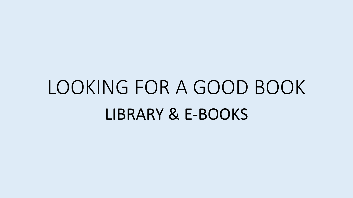### LOOKING FOR A GOOD BOOK LIBRARY & E-BOOKS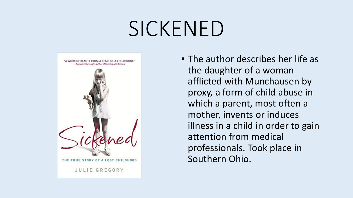### SICKENED



• The author describes her life as the daughter of a woman afflicted with Munchausen by proxy, a form of child abuse in which a parent, most often a mother, invents or induces illness in a child in order to gain attention from medical professionals. Took place in Southern Ohio.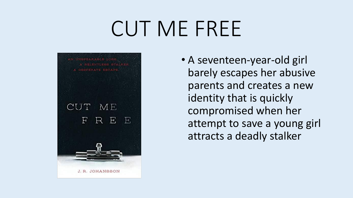## CUT ME FREE



• A seventeen-year-old girl barely escapes her abusive parents and creates a new identity that is quickly compromised when her attempt to save a young girl attracts a deadly stalker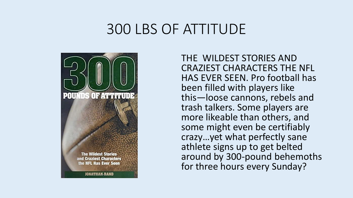#### 300 LBS OF ATTITUDE



THE WILDEST STORIES AND CRAZIEST CHARACTERS THE NFL HAS EVER SEEN. Pro football has been filled with players like this―loose cannons, rebels and trash talkers. Some players are more likeable than others, and some might even be certifiably crazy…yet what perfectly sane athlete signs up to get belted around by 300-pound behemoths for three hours every Sunday?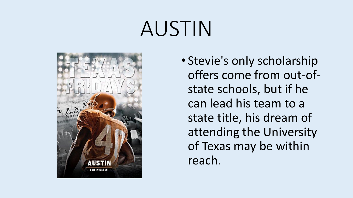# AUSTIN



• Stevie's only scholarship offers come from out-ofstate schools, but if he can lead his team to a state title, his dream of attending the University of Texas may be within reach.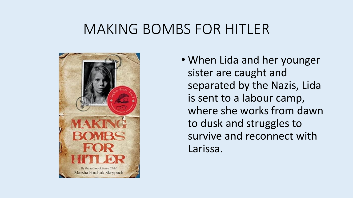#### MAKING BOMBS FOR HITLER



• When Lida and her younger sister are caught and separated by the Nazis, Lida is sent to a labour camp, where she works from dawn to dusk and struggles to survive and reconnect with Larissa.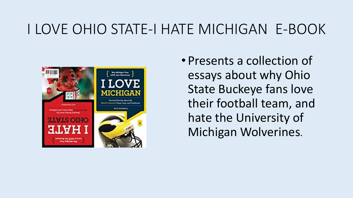### I LOVE OHIO STATE-I HATE MICHIGAN E-BOOK



• Presents a collection of essays about why Ohio State Buckeye fans love their football team, and hate the University of Michigan Wolverines.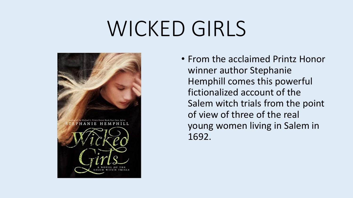## WICKED GIRLS



• From the acclaimed Printz Honor winner author Stephanie Hemphill comes this powerful fictionalized account of the Salem witch trials from the point of view of three of the real young women living in Salem in 1692.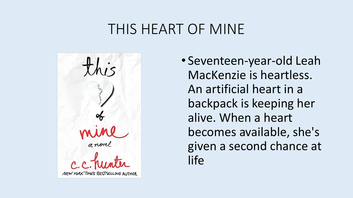#### THIS HEART OF MINE



• Seventeen-year-old Leah MacKenzie is heartless. An artificial heart in a backpack is keeping her alive. When a heart becomes available, she's given a second chance at life